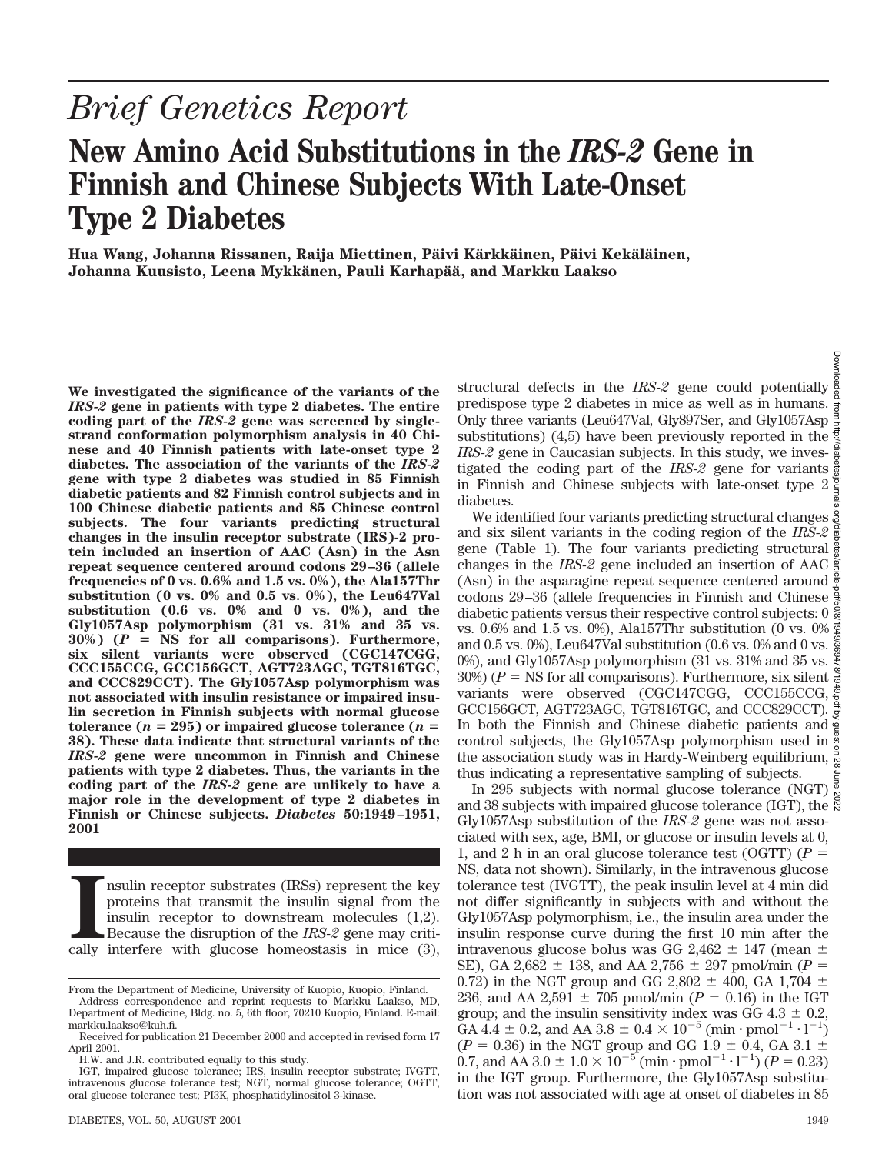Downloadec

# *Brief Genetics Report*

## **New Amino Acid Substitutions in the** *IRS-2* **Gene in Finnish and Chinese Subjects With Late-Onset Type 2 Diabetes**

Hua Wang, Johanna Rissanen, Raija Miettinen, Päivi Kärkkäinen, Päivi Kekäläinen, **Johanna Kuusisto, Leena Mykka¨nen, Pauli Karhapa¨a¨, and Markku Laakso**

**We investigated the significance of the variants of the** *IRS-2* **gene in patients with type 2 diabetes. The entire coding part of the** *IRS-2* **gene was screened by singlestrand conformation polymorphism analysis in 40 Chinese and 40 Finnish patients with late-onset type 2 diabetes. The association of the variants of the** *IRS-2* **gene with type 2 diabetes was studied in 85 Finnish diabetic patients and 82 Finnish control subjects and in 100 Chinese diabetic patients and 85 Chinese control subjects. The four variants predicting structural changes in the insulin receptor substrate (IRS)-2 protein included an insertion of AAC (Asn) in the Asn repeat sequence centered around codons 29–36 (allele frequencies of 0 vs. 0.6% and 1.5 vs. 0%), the Ala157Thr substitution (0 vs. 0% and 0.5 vs. 0%), the Leu647Val substitution (0.6 vs. 0% and 0 vs. 0%), and the Gly1057Asp polymorphism (31 vs. 31% and 35 vs.**  $30\%$ ) ( $P = \overline{\text{NS}}$  for all comparisons). Furthermore, **six silent variants were observed (CGC147CGG, CCC155CCG, GCC156GCT, AGT723AGC, TGT816TGC, and CCC829CCT). The Gly1057Asp polymorphism was not associated with insulin resistance or impaired insulin secretion in Finnish subjects with normal glucose tolerance (** $n = 295$ **) or impaired glucose tolerance (** $n =$ **38). These data indicate that structural variants of the** *IRS-2* **gene were uncommon in Finnish and Chinese patients with type 2 diabetes. Thus, the variants in the coding part of the** *IRS-2* **gene are unlikely to have a major role in the development of type 2 diabetes in Finnish or Chinese subjects.** *Diabetes* **50:1949–1951, 2001**

**I** nsulin receptor substrates (IRSs) represent the key proteins that transmit the insulin signal from the insulin receptor to downstream molecules (1,2). Because the disruption of the *IRS-2* gene may critically interfere nsulin receptor substrates (IRSs) represent the key proteins that transmit the insulin signal from the insulin receptor to downstream molecules (1,2). Because the disruption of the *IRS-2* gene may criti-

structural defects in the *IRS-2* gene could potentially predispose type 2 diabetes in mice as well as in humans. Only three variants (Leu647Val, Gly897Ser, and Gly1057Asp substitutions) (4,5) have been previously reported in the *IRS-2* gene in Caucasian subjects. In this study, we investigated the coding part of the *IRS-2* gene for variants in Finnish and Chinese subjects with late-onset type 2 diabetes.

We identified four variants predicting structural changes  $\frac{3}{9}$ and six silent variants in the coding region of the *IRS-2* gene (Table 1). The four variants predicting structural  $\frac{a}{b}$ changes in the *IRS-2* gene included an insertion of AAC (Asn) in the asparagine repeat sequence centered around codons 29–36 (allele frequencies in Finnish and Chinese diabetic patients versus their respective control subjects: 0 vs. 0.6% and 1.5 vs. 0%), Ala157Thr substitution (0 vs. 0% and 0.5 vs. 0%), Leu647Val substitution (0.6 vs. 0% and 0 vs. 0%), and Gly1057Asp polymorphism (31 vs. 31% and 35 vs.  $\frac{8}{\lambda}$ 30%) ( $P = \text{NS}$  for all comparisons). Furthermore, six silent  $\frac{5}{8}$ variants were observed (CGC147CGG, CCC155CCG, GCC156GCT, AGT723AGC, TGT816TGC, and CCC829CCT). In both the Finnish and Chinese diabetic patients and control subjects, the Gly1057Asp polymorphism used in  $\frac{8}{9}$ the association study was in Hardy-Weinberg equilibrium,  $\frac{5}{8}$ thus indicating a representative sampling of subjects.

In 295 subjects with normal glucose tolerance (NGT)  $\frac{3}{8}$ and 38 subjects with impaired glucose tolerance (IGT), the Gly1057Asp substitution of the *IRS-2* gene was not associated with sex, age, BMI, or glucose or insulin levels at 0, 1, and 2 h in an oral glucose tolerance test (OGTT)  $(P =$ NS, data not shown). Similarly, in the intravenous glucose tolerance test (IVGTT), the peak insulin level at 4 min did not differ significantly in subjects with and without the Gly1057Asp polymorphism, i.e., the insulin area under the insulin response curve during the first 10 min after the intravenous glucose bolus was GG 2,462  $\pm$  147 (mean  $\pm$ SE), GA 2,682  $\pm$  138, and AA 2,756  $\pm$  297 pmol/min (*P* = 0.72) in the NGT group and GG 2,802  $\pm$  400, GA 1,704  $\pm$ 236, and AA 2,591  $\pm$  705 pmol/min (*P* = 0.16) in the IGT group; and the insulin sensitivity index was  $GG\ 4.3 \pm 0.2$ , GA  $4.4 \pm 0.2$ , and AA  $3.8 \pm 0.4 \times 10^{-5}$  (min · pmol<sup>-1</sup> · l<sup>-1</sup>)  $(P = 0.36)$  in the NGT group and GG 1.9  $\pm$  0.4, GA 3.1  $\pm$ 0.7, and AA 3.0  $\pm$  1.0  $\times$  10<sup>-5</sup> (min · pmol<sup>-1</sup> · l<sup>-1</sup>) (*P* = 0.23) in the IGT group. Furthermore, the Gly1057Asp substitution was not associated with age at onset of diabetes in 85

From the Department of Medicine, University of Kuopio, Kuopio, Finland.

Address correspondence and reprint requests to Markku Laakso, MD, Department of Medicine, Bldg. no. 5, 6th floor, 70210 Kuopio, Finland. E-mail: markku.laakso@kuh.fi.

Received for publication 21 December 2000 and accepted in revised form 17 April 2001.

H.W. and J.R. contributed equally to this study.

IGT, impaired glucose tolerance; IRS, insulin receptor substrate; IVGTT, intravenous glucose tolerance test; NGT, normal glucose tolerance; OGTT, oral glucose tolerance test; PI3K, phosphatidylinositol 3-kinase.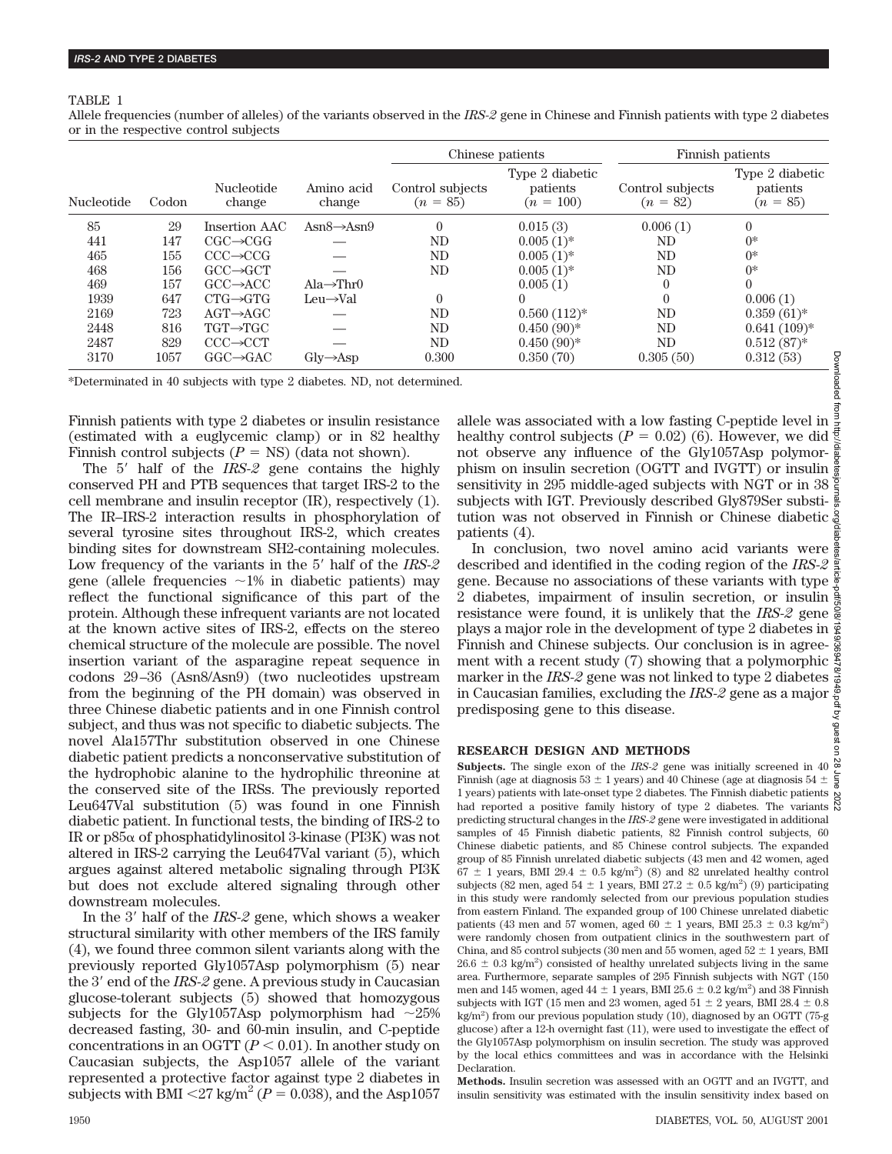#### TABLE 1

Allele frequencies (number of alleles) of the variants observed in the *IRS-2* gene in Chinese and Finnish patients with type 2 diabetes or in the respective control subjects

|                   |       |                             |                             | Chinese patients               |                                            | Finnish patients               |                                           |
|-------------------|-------|-----------------------------|-----------------------------|--------------------------------|--------------------------------------------|--------------------------------|-------------------------------------------|
| <b>Nucleotide</b> | Codon | <b>Nucleotide</b><br>change | Amino acid<br>change        | Control subjects<br>$(n = 85)$ | Type 2 diabetic<br>patients<br>$(n = 100)$ | Control subjects<br>$(n = 82)$ | Type 2 diabetic<br>patients<br>$(n = 85)$ |
| 85                | 29    | Insertion AAC               | Asn $8 \rightarrow$ Asn $9$ | $\overline{0}$                 | 0.015(3)                                   | 0.006(1)                       | $\theta$                                  |
| 441               | 147   | $CGC \rightarrow CGG$       |                             | ND                             | $0.005(1)$ *                               | ND                             | $0^*$                                     |
| 465               | 155   | $CCC \rightarrow CCG$       |                             | ND                             | $0.005(1)$ *                               | ND                             | $0*$                                      |
| 468               | 156   | $GCC \rightarrow GCT$       |                             | ND                             | $0.005(1)$ *                               | ND                             | $0*$                                      |
| 469               | 157   | $GCC \rightarrow ACC$       | Ala $\rightarrow$ Thr0      |                                | 0.005(1)                                   | $\theta$                       | $\left( \right)$                          |
| 1939              | 647   | $CTG \rightarrow GTG$       | $Leu \rightarrow Val$       | $\theta$                       | $\Omega$                                   | $\Omega$                       | 0.006(1)                                  |
| 2169              | 723   | $AGT \rightarrow AGC$       |                             | ND                             | $0.560(112)*$                              | ND                             | $0.359(61)*$                              |
| 2448              | 816   | TGT→TGC                     |                             | ND                             | $0.450(90)*$                               | ND                             | $0.641(109)*$                             |
| 2487              | 829   | $CCC \rightarrow CCT$       |                             | ND                             | $0.450(90)*$                               | ND                             | $0.512(87)$ *                             |
| 3170              | 1057  | $GGC \rightarrow GAC$       | $\rm Gly\rightarrow Asp$    | 0.300                          | 0.350(70)                                  | 0.305(50)                      | 0.312(53)                                 |

\*Determinated in 40 subjects with type 2 diabetes. ND, not determined.

Finnish patients with type 2 diabetes or insulin resistance (estimated with a euglycemic clamp) or in 82 healthy Finnish control subjects  $(P = NS)$  (data not shown).

The 5' half of the *IRS-2* gene contains the highly conserved PH and PTB sequences that target IRS-2 to the cell membrane and insulin receptor (IR), respectively (1). The IR–IRS-2 interaction results in phosphorylation of several tyrosine sites throughout IRS-2, which creates binding sites for downstream SH2-containing molecules. Low frequency of the variants in the 5' half of the *IRS-2* gene (allele frequencies  $\sim$ 1% in diabetic patients) may reflect the functional significance of this part of the protein. Although these infrequent variants are not located at the known active sites of IRS-2, effects on the stereo chemical structure of the molecule are possible. The novel insertion variant of the asparagine repeat sequence in codons 29–36 (Asn8/Asn9) (two nucleotides upstream from the beginning of the PH domain) was observed in three Chinese diabetic patients and in one Finnish control subject, and thus was not specific to diabetic subjects. The novel Ala157Thr substitution observed in one Chinese diabetic patient predicts a nonconservative substitution of the hydrophobic alanine to the hydrophilic threonine at the conserved site of the IRSs. The previously reported Leu647Val substitution (5) was found in one Finnish diabetic patient. In functional tests, the binding of IRS-2 to IR or  $p85\alpha$  of phosphatidylinositol 3-kinase (PI3K) was not altered in IRS-2 carrying the Leu647Val variant (5), which argues against altered metabolic signaling through PI3K but does not exclude altered signaling through other downstream molecules.

In the 3' half of the *IRS-2* gene, which shows a weaker structural similarity with other members of the IRS family (4), we found three common silent variants along with the previously reported Gly1057Asp polymorphism (5) near the 3' end of the *IRS-2* gene. A previous study in Caucasian glucose-tolerant subjects (5) showed that homozygous subjects for the Gly1057Asp polymorphism had  $\sim$ 25% decreased fasting, 30- and 60-min insulin, and C-peptide concentrations in an OGTT  $(P < 0.01)$ . In another study on Caucasian subjects, the Asp1057 allele of the variant represented a protective factor against type 2 diabetes in subjects with BMI  $\langle 27 \text{ kg/m}^2 (P = 0.038)$ , and the Asp1057

allele was associated with a low fasting C-peptide level in healthy control subjects  $(P = 0.02)$  (6). However, we did not observe any influence of the Gly1057Asp polymorphism on insulin secretion (OGTT and IVGTT) or insulin sensitivity in 295 middle-aged subjects with NGT or in 38 subjects with IGT. Previously described Gly879Ser substitution was not observed in Finnish or Chinese diabetic patients (4).

In conclusion, two novel amino acid variants were  $\frac{3}{9}$ described and identified in the coding region of the *IRS-2* gene. Because no associations of these variants with type 2 diabetes, impairment of insulin secretion, or insulin resistance were found, it is unlikely that the *IRS-2* gene plays a major role in the development of type 2 diabetes in  $\frac{1}{2}$ Finnish and Chinese subjects. Our conclusion is in agreement with a recent study (7) showing that a polymorphic  $\frac{8}{9}$ marker in the *IRS-2* gene was not linked to type 2 diabetes in Caucasian families, excluding the *IRS-2* gene as a major predisposing gene to this disease.

#### **RESEARCH DESIGN AND METHODS**

**Subjects.** The single exon of the *IRS-2* gene was initially screened in 40  $\frac{\infty}{6}$ Finnish (age at diagnosis  $53 \pm 1$  years) and 40 Chinese (age at diagnosis  $54 \pm \frac{2}{8}$ 1 years) patients with late-onset type 2 diabetes. The Finnish diabetic patients had reported a positive family history of type 2 diabetes. The variants  $\breve{\aleph}$ predicting structural changes in the *IRS-2* gene were investigated in additional samples of 45 Finnish diabetic patients, 82 Finnish control subjects, 60 Chinese diabetic patients, and 85 Chinese control subjects. The expanded group of 85 Finnish unrelated diabetic subjects (43 men and 42 women, aged  $67 \pm 1$  years, BMI 29.4  $\pm$  0.5 kg/m<sup>2</sup>) (8) and 82 unrelated healthy control subjects (82 men, aged  $54 \pm 1$  years, BMI 27.2  $\pm$  0.5 kg/m<sup>2</sup>) (9) participating in this study were randomly selected from our previous population studies from eastern Finland. The expanded group of 100 Chinese unrelated diabetic patients (43 men and 57 women, aged 60  $\pm$  1 years, BMI 25.3  $\pm$  0.3 kg/m<sup>2</sup>) were randomly chosen from outpatient clinics in the southwestern part of China, and 85 control subjects (30 men and 55 women, aged  $52 \pm 1$  years, BMI  $26.6 \pm 0.3$  kg/m<sup>2</sup>) consisted of healthy unrelated subjects living in the same area. Furthermore, separate samples of 295 Finnish subjects with NGT (150 men and 145 women, aged  $44 \pm 1$  years, BMI  $25.6 \pm 0.2$  kg/m<sup>2</sup>) and 38 Finnish subjects with IGT (15 men and 23 women, aged  $51 \pm 2$  years, BMI 28.4  $\pm$  0.8 kg/m2 ) from our previous population study (10), diagnosed by an OGTT (75-g glucose) after a 12-h overnight fast (11), were used to investigate the effect of the Gly1057Asp polymorphism on insulin secretion. The study was approved by the local ethics committees and was in accordance with the Helsinki **Declaration** 

**Methods.** Insulin secretion was assessed with an OGTT and an IVGTT, and insulin sensitivity was estimated with the insulin sensitivity index based on